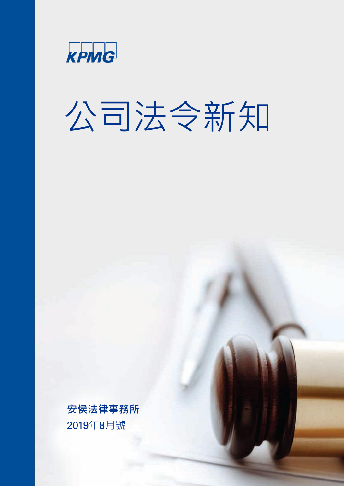

# 公司法令新知

**安侯法律事務所** 2019年8月號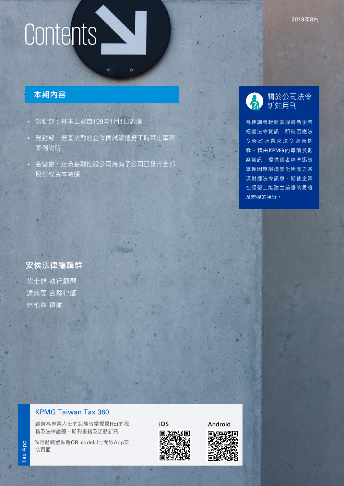# Contents

## **本期內容**

- 勞動部:基本工資自109年1月1日調漲
- 勞動部:勞基法對於企業面試派遣勞工時禁止事項 案例說明

ö

• 金管會:定義金融控股公司持有子公司已發行全部 股份或資本總額

**TENTS** 

## 關於公司法令 新知月刊

為使讀者輕鬆掌握最新企業 經營法令資訊,即時因應法 令修改所帶來法令遵循挑 戰。藉由KPMG的導讀及觀 察資訊,提供讀者精準迅速 掌握因應環境變化所需之各 項財經法令訊息,期使企業 在經營上能建立前瞻的思維 及宏觀的視野。

**安侯法律編輯群** 翁士傑 執行顧問 鍾典晏 合夥律師 林柏霖 律師

# KPMG Taiwan Tax 360

讓身為專業人士的您隨時掌握最Hot的稅 務及法律議題、期刊書籍及活動新訊

※行動裝置點選QR code即可開啟App安 裝頁面



KPMG international Cooperative ("KPMG International"), a Swiss entity. All rights reserved. Printed in Taiwan.

**iOS [Android](https://play.google.com/store/apps/details?id=com.kpmg.taiwantax)**

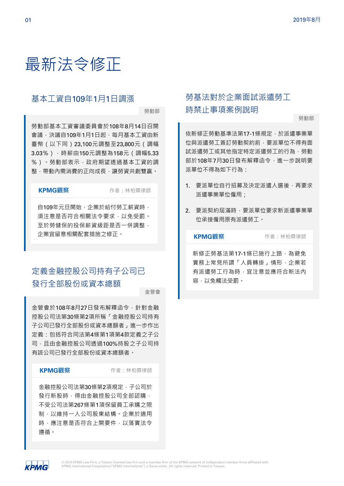# 最新法令修正

# 基本工資自109年1月1日調漲

**勞動部**

勞動部基本工資審議委員會於108年8月14日召開 會議,決議自109年1月1日起,每月基本工資由新 臺幣(以下同)23,100元調整至23,800元(調幅 3.03%),時薪由150元調整為158元(調幅5.33 %)。勞動部表示,政府期望透過基本工資的調 整,帶動內需消費的正向成長,讓勞資共創雙贏。

**KPMG觀察** 作者:林柏霖律師

自109年元旦開始,企業於給付勞工薪資時, 須注意是否符合相關法令要求,以免受罰。 至於勞健保的投保薪資級距是否一併調整, 企業宜留意相關配套措施之修正。

# 定義金融控股公司持有子公司已 發行全部股份或資本總額

**金管會**

金管會於108年8月27日發布解釋函令,針對金融 控股公司法第30條第2項所稱「金融控股公司持有 子公司已發行全部股份或資本總額者」進一步作出 定義:包括符合同法第4條第1項第4款定義之子公 司, 月由金融控股公司诱過100%持股之子公司持 有該公司已發行全部股份或資本總額者。

**KPMG觀察** 作者:林柏霖律師

金融控股公司法第30條第2項規定,子公司於 發行新股時,得由金融控股公司全部認購, 不受公司法第267條第1項保留員工承購之限 制,以維持一人公司股東結構。企業於適用 時,應注意是否符合上開要件,以落實法令 遵循。

# 勞基法對於企業面試派遣勞工 時禁止事項案例說明

**勞動部**

依新修正勞動基準法第17-1條規定,於派遣事業單 位與派遣勞工簽訂勞動契約前,要派單位不得有面 試派遣勞工或其他指定特定派遣勞工的行為,勞動 部於108年7月30日發布解釋函令,進一步說明要 派單位不得為如下行為:

- 1. 要派單位自行招募及決定派遣人選後,再要求 派遣事業單位僱用;
- 2. 要派契約屆滿時,要派單位要求新派遣事業單 位承接僱用原有派遣勞工。

**KPMG觀察** 作者:林柏霖律師

新修正勞基法第17-1條已施行上路,為避免 實務上常見所謂「人員轉掛」情形,企業若 有派遣勞工行為時,宜注意並應符合新法內 容,以免觸法受罰。